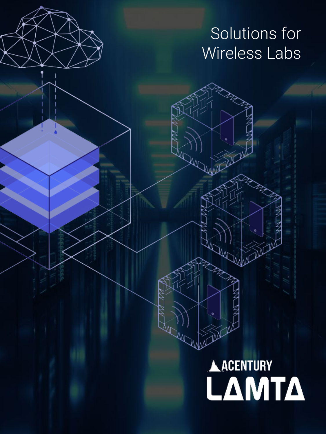# Solutions for Wireless Labs

# AACENTURY<br>**LAMTA**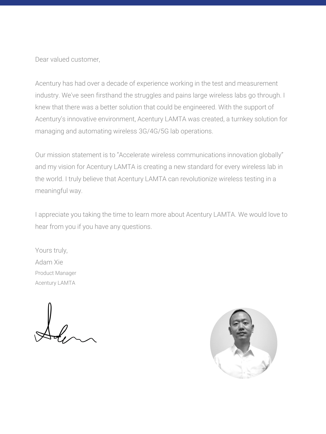Dear valued customer,

Acentury has had over a decade of experience working in the test and measurement industry. We've seen firsthand the struggles and pains large wireless labs go through. I knew that there was a better solution that could be engineered. With the support of Acentury's innovative environment, Acentury LAMTA was created, a turnkey solution for managing and automating wireless 3G/4G/5G lab operations.

Our mission statement is to "Accelerate wireless communications innovation globally" and my vision for Acentury LAMTA is creating a new standard for every wireless lab in the world. I truly believe that Acentury LAMTA can revolutionize wireless testing in a meaningful way.

I appreciate you taking the time to learn more about Acentury LAMTA. We would love to hear from you if you have any questions.

Yours truly, Adam Xie Product Manager Acentury LAMTA

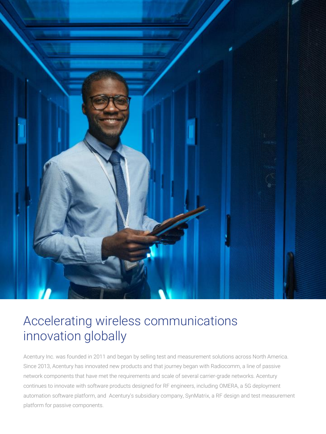

# Accelerating wireless communications innovation globally

Acentury Inc. was founded in 2011 and began by selling test and measurement solutions across North America. Since 2013, Acentury has innovated new products and that journey began with Radiocomm, a line of passive network components that have met the requirements and scale of several carrier-grade networks. Acentury continues to innovate with software products designed for RF engineers, including OMERA, a 5G deployment automation software platform, and Acentury's subsidiary company, SynMatrix, a RF design and test measurement platform for passive components.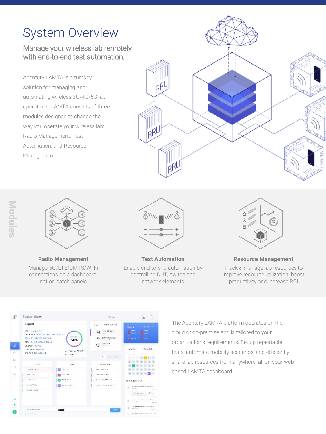# System Overview

#### Manage your wireless lab remotely with end-to-end test automation.

Acentury LAMTA is a turnkey solution for managing and automating wireless 3G/4G/5G lab operations. LAMTA consists of three modules designed to change the way you operate your wireless lab: Radio Management, Test Automation, and Resource Management.







**Radio Management** Manage 5G/LTE/UMTS/Wi-Fi connections on a dashboard, not on patch panels



**Test Automation** Enable end-to-end automation by controlling DUT, switch and network elements



**Resource Management** Track & manage lab resources to improve resource utilization, boost productivity and increase ROI



The Acentury LAMTA platform operates on the cloud or on-premise and is tailored to your organization's requirements. Set up repeatable tests, automate mobility scenarios, and efficiently share lab resources from anywhere, all on your webbased LAMTA dashboard.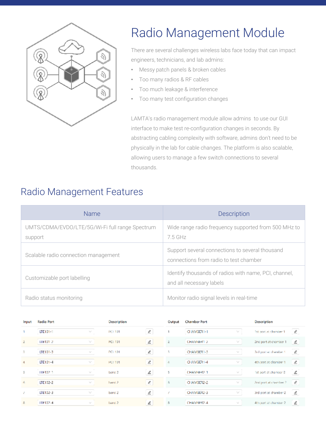

# Radio Management Module

There are several challenges wireless labs face today that can impact engineers, technicians, and lab admins:

- Messy patch panels & broken cables
- Too many radios & RF cables
- Too much leakage & interference
- Too many test configuration changes

LAMTA's radio management module allow admins to use our GUI interface to make test re-configuration changes in seconds. By abstracting cabling complexity with software, admins don't need to be physically in the lab for cable changes. The platform is also scalable, allowing users to manage a few switch connections to several thousands.

## Radio Management Features

| <b>Name</b>                                                | <b>Description</b>                                                                        |
|------------------------------------------------------------|-------------------------------------------------------------------------------------------|
| UMTS/CDMA/EVDO/LTE/5G/Wi-Fi full range Spectrum<br>support | Wide range radio frequency supported from 500 MHz to<br>75 GHz                            |
| Scalable radio connection management                       | Support several connections to several thousand<br>connections from radio to test chamber |
| Customizable port labelling                                | Identify thousands of radios with name, PCI, channel,<br>and all necessary labels         |
| Radio status monitoring                                    | Monitor radio signal levels in real-time                                                  |

| Input          | <b>Radio Port</b>                       | Description       |                                        | Output | <b>Chamber Port</b>                   | <b>Description</b>                                           |  |
|----------------|-----------------------------------------|-------------------|----------------------------------------|--------|---------------------------------------|--------------------------------------------------------------|--|
|                | LTE101-1<br>$\mathcal{N}_{\rm eff}$     | <b>PCE101</b>     | $\mathcal{Q}$                          | 1      | CHAMBER1-1<br>v                       | $\mathcal{\underline{\mathcal{Q}}}$<br>1st port at chamber 1 |  |
| 2              | LIE101-2<br>w                           | PCL 101           | ₹                                      | z      | CHAMBER1 2<br>w                       | ⊻<br>2nd port at chamber 1                                   |  |
| 3              | LTE101-3<br>$\mathcal{L}_{\mathcal{A}}$ | PCE 101           | $\ell$                                 | 3      | CHAMBER1-3<br>N.                      | $\ell$<br>3rd port at chamber 1                              |  |
| $\overline{4}$ | LTE101-4<br>×                           | <b>PCE 101</b>    | $\epsilon$                             | ÷      | CHAMBER1-4<br>v                       | $\mathcal{\underline{\mathscr{L}}}$<br>4th port at chamber 1 |  |
| 5              | 111102-1<br>w                           | band <sub>2</sub> | $\mathbb Z$                            | 5      | CHAMBER2 1<br>w                       | ⊻<br>1st port at chamber 2                                   |  |
| 6              | LTE102-2<br>$\mathcal{N}_{\rm eff}$     | band <sub>2</sub> | $\epsilon$                             | 6      | CHAMBER2-2<br>v                       | $\overline{\phantom{a}}$<br>2nd port at chamber 2.           |  |
| ¥.             | LTE102-3<br>w                           | band <sub>2</sub> | $\ensuremath{\underline{\mathscr{L}}}$ |        | CHAMBER2-3<br>w                       | $\,\,\underline{\mathscr{L}}\,$<br>3rd port at chamber 2     |  |
| 8              | TTF102-4<br>v                           | band <sub>2</sub> | ⇙                                      | s.     | CHAMBER2-4<br>$\mathcal{N}_{\rm eff}$ | ⊻<br>4th port at chamber 2                                   |  |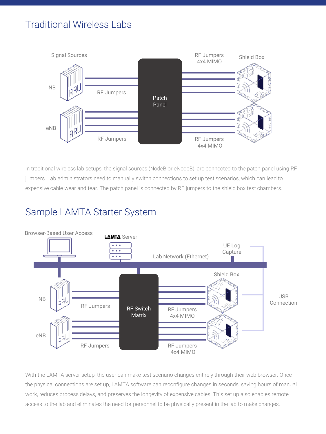## Traditional Wireless Labs



In traditional wireless lab setups, the signal sources (NodeB or eNodeB), are connected to the patch panel using RF jumpers. Lab administrators need to manually switch connections to set up test scenarios, which can lead to expensive cable wear and tear. The patch panel is connected by RF jumpers to the shield box test chambers.

## Sample LAMTA Starter System



With the LAMTA server setup, the user can make test scenario changes entirely through their web browser. Once the physical connections are set up, LAMTA software can reconfigure changes in seconds, saving hours of manual work, reduces process delays, and preserves the longevity of expensive cables. This set up also enables remote access to the lab and eliminates the need for personnel to be physically present in the lab to make changes.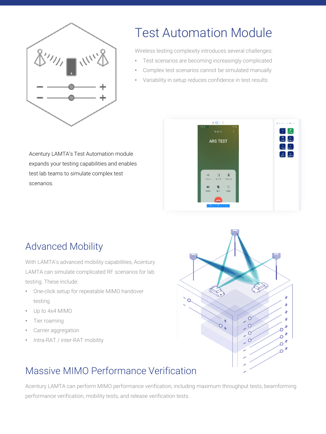

# Test Automation Module

Wireless testing complexity introduces several challenges:

- Test scenarios are becoming increasingly complicated
- Complex test scenarios cannot be simulated manually
- Variability in setup reduces confidence in test results

Acentury LAMTA's Test Automation module expands your testing capabilities and enables test lab teams to simulate complex test scenarios.



## Advanced Mobility

With LAMTA's advanced mobility capabilities, Acentury LAMTA can simulate complicated RF scenarios for lab testing. These include:

- One-click setup for repeatable MIMO handover testing
- Up to 4x4 MIMO
- Tier roaming
- Carrier aggregation
- Intra-RAT / inter-RAT mobility



## Massive MIMO Performance Verification

Acentury LAMTA can perform MIMO performance verification, including maximum throughput tests, beamforming performance verification, mobility tests, and release verification tests.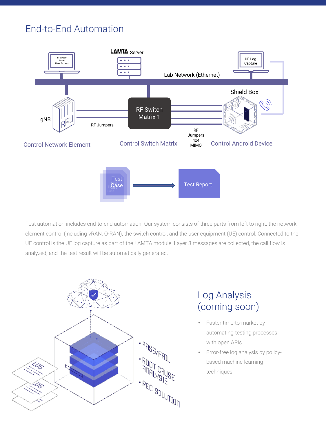## End-to-End Automation



Test automation includes end-to-end automation. Our system consists of three parts from left to right: the network element control (including vRAN, O-RAN), the switch control, and the user equipment (UE) control. Connected to the UE control is the UE log capture as part of the LAMTA module. Layer 3 messages are collected, the call flow is analyzed, and the test result will be automatically generated.



## Log Analysis (coming soon)

- Faster time-to-market by automating testing processes with open APIs
- Error-free log analysis by policybased machine learning techniques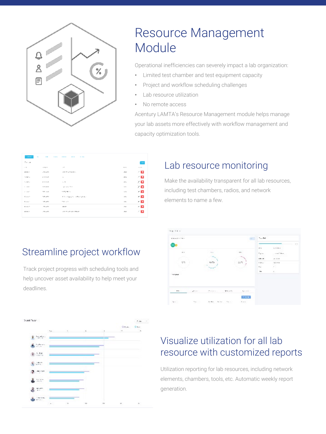

# Resource Management **Module**

Operational inefficiencies can severely impact a lab organization:

- Limited test chamber and test equipment capacity
- Project and workflow scheduling challenges
- Lab resource utilization
- No remote access

Acentury LAMTA's Resource Management module helps manage your lab assets more effectively with workflow management and capacity optimization tools.

| 1.125             | $\sim$<br>$\sim$ | -----<br><br><br>$\frac{1}{2} \left( \frac{1}{2} \right) \left( \frac{1}{2} \right) \left( \frac{1}{2} \right)$ |                |         |
|-------------------|------------------|-----------------------------------------------------------------------------------------------------------------|----------------|---------|
| De la             |                  |                                                                                                                 |                | page 1  |
| $\sim 1000$       | colp.m.          | $-16$                                                                                                           | 85, 197,       | ALC ALL |
| 1/11/2010         | <b>AT AVES</b>   | THE PERMIT REPORTS                                                                                              | -2012          | 4 D     |
| 100 MW 1          | <b>CONTRACT</b>  | $\sim$                                                                                                          | $-28.4$        | 7 O     |
| 1205010           | 12.553           | <b>1. 10</b>                                                                                                    | 18%            | 70      |
| <b>CONTRACTOR</b> | La Superiori     | graduate Waller                                                                                                 | a since        | - 0     |
| Contract In       | 1.00 minutes     | STORES                                                                                                          | a she          | - 0     |
| Forest.           | 123-424          | P. N. of Janet A. Andrew Holes in                                                                               | $1.5 -$        | - 0     |
| Forest.           | 123 - 47 1       | $7.57\sim 7$                                                                                                    | 11x            | - 0     |
| M-10-7            | 2010/07/18       | AAP                                                                                                             | $\sim 10^{-1}$ | - 0     |
| 6/6 5/6 %         | -78.4973         | 19.20 LP-A/C-TRAFF                                                                                              | -10            | 4 D     |
|                   |                  |                                                                                                                 |                |         |

Streamline project workflow

Track project progress with scheduling tools and help uncover asset availability to help meet your

deadlines.

## Lab resource monitoring

Make the availability transparent for all lab resources, including test chambers, radios, and network elements to name a few.





## Visualize utilization for all lab resource with customized reports

Utilization reporting for lab resources, including network elements, chambers, tools, etc. Automatic weekly report generation.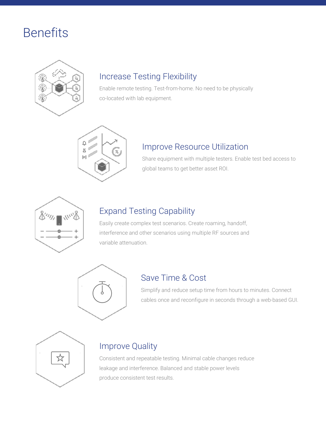# **Benefits**



## Increase Testing Flexibility

Enable remote testing. Test-from-home. No need to be physically co-located with lab equipment.



#### Improve Resource Utilization

Share equipment with multiple testers. Enable test bed access to global teams to get better asset ROI.



## Expand Testing Capability

Easily create complex test scenarios. Create roaming, handoff, interference and other scenarios using multiple RF sources and variable attenuation.



#### Save Time & Cost

Simplify and reduce setup time from hours to minutes. Connect cables once and reconfigure in seconds through a web-based GUI.



#### Improve Quality

Consistent and repeatable testing. Minimal cable changes reduce leakage and interference. Balanced and stable power levels produce consistent test results.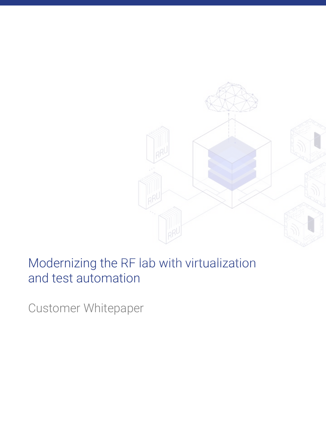

# Modernizing the RF lab with virtualization and test automation

Customer Whitepaper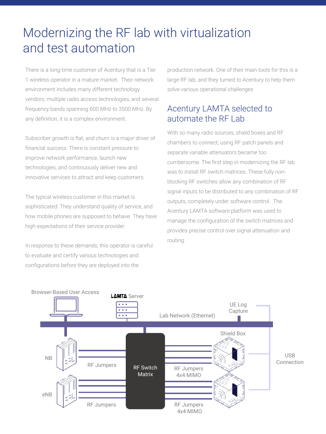# Modernizing the RF lab with virtualization and test automation

There is a long-time customer of Acentury that is a Tier 1 wireless operator in a mature market. Their network environment includes many different technology vendors, multiple radio access technologies, and several frequency bands spanning 600 MHz to 3500 MHz. By any definition, it is a complex environment.

Subscriber growth is flat, and churn is a major driver of financial success. There is constant pressure to improve network performance, launch new technologies, and continuously deliver new and innovative services to attract and keep customers.

The typical wireless customer in this market is sophisticated. They understand quality of service, and how mobile phones are supposed to behave. They have high expectations of their service provider.

In response to these demands, this operator is careful to evaluate and certify various technologies and configurations before they are deployed into the

production network. One of their main tools for this is a large RF lab, and they turned to Acentury to help them solve various operational challenges

#### Acentury LAMTA selected to automate the RF Lab

With so many radio sources, shield boxes and RF chambers to connect, using RF patch panels and separate variable attenuators became too cumbersome. The first step in modernizing the RF lab was to install RF switch matrices. These fully nonblocking RF switches allow any combination of RF signal inputs to be distributed to any combination of RF outputs, completely under software control. The Acentury LAMTA software platform was used to manage the configuration of the switch matrices and provides precise control over signal attenuation and routing.

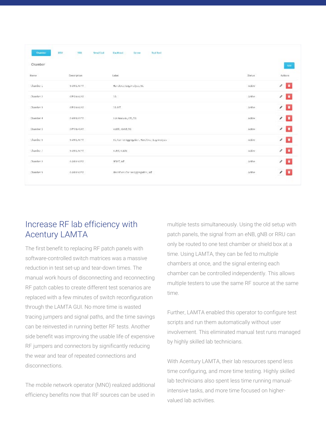| <b>Chamber</b> | 830<br>180        | Sinud Cud<br><b>Backbast</b><br><b>Tusk Teel</b><br>Service |         |                   |
|----------------|-------------------|-------------------------------------------------------------|---------|-------------------|
| Chamber        |                   |                                                             |         | $A$ zid           |
| Name           | Description       | Label.                                                      | Status  | Actions           |
| Chamber 2      | <b>SAN LOSPIA</b> | Handbyer, Log Analysis, 50                                  | with    | $\sqrt{2}$        |
| Chamber 2      | 6PN m6AV          | 58                                                          | Active. | $\sqrt{2}$        |
| Chamber 3      | 6PM to 6 AV       | 58.RT                                                       | Active. | $\sqrt{2}$        |
| Chamber 4      | DANISOPRI         | Los Analysis, LTE, SG                                       | Adhae   | $\sqrt{2}$        |
| Chamber 5      | <b>DPN lo GAM</b> | Vol.TE, Voh.R. 5G                                           | Adhar   | $\epsilon$ $\Box$ |
| Chambere       | 6 AN IS 6 P.R.    | 55, Camier Aggregation, Hand Over, Log Analysis-            | active. | $\sqrt{2}$        |
| Chamber 7      | 64N156PM          | VUMP, VOLTET                                                | withe.  | $\sqrt{2}$        |
| Chamber 3      | 6AN106PM          | NEIGT, IoT                                                  | Active  | $\angle$ D        |
| Chamber 9      | 6 Mits 6 PM       | HandCast Carrier Aggregation, IoT.                          | ictive  | $\sqrt{2}$        |
|                |                   |                                                             |         |                   |

#### Increase RF lab efficiency with Acentury LAMTA

The first benefit to replacing RF patch panels with software-controlled switch matrices was a massive reduction in test set-up and tear-down times. The manual work hours of disconnecting and reconnecting RF patch cables to create different test scenarios are replaced with a few minutes of switch reconfiguration through the LAMTA GUI. No more time is wasted tracing jumpers and signal paths, and the time savings can be reinvested in running better RF tests. Another side benefit was improving the usable life of expensive RF jumpers and connectors by significantly reducing the wear and tear of repeated connections and disconnections.

The mobile network operator (MNO) realized additional efficiency benefits now that RF sources can be used in multiple tests simultaneously. Using the old setup with patch panels, the signal from an eNB, gNB or RRU can only be routed to one test chamber or shield box at a time. Using LAMTA, they can be fed to multiple chambers at once, and the signal entering each chamber can be controlled independently. This allows multiple testers to use the same RF source at the same time.

Further, LAMTA enabled this operator to configure test scripts and run them automatically without user involvement. This eliminated manual test runs managed by highly skilled lab technicians.

With Acentury LAMTA, their lab resources spend less time configuring, and more time testing. Highly skilled lab technicians also spent less time running manualintensive tasks, and more time focused on highervalued lab activities.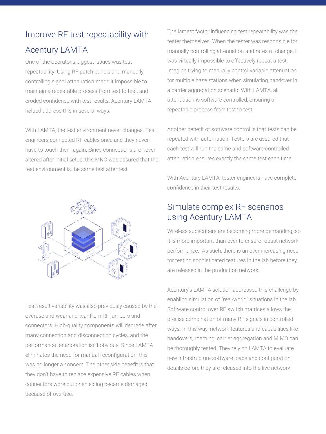# Improve RF test repeatability with Acentury LAMTA

One of the operator's biggest issues was test repeatability. Using RF patch panels and manually controlling signal attenuation made it impossible to maintain a repeatable process from test to test, and eroded confidence with test results. Acentury LAMTA helped address this in several ways.

With LAMTA, the test environment never changes. Test engineers connected RF cables once and they never have to touch them again. Since connections are never altered after initial setup, this MNO was assured that the test environment is the same test after test.



Test result variability was also previously caused by the overuse and wear and tear from RF jumpers and connectors. High-quality components will degrade after many connection and disconnection cycles, and the performance deterioration isn't obvious. Since LAMTA eliminates the need for manual reconfiguration, this was no longer a concern. The other side benefit is that they don't have to replace expensive RF cables when connectors wore out or shielding became damaged because of overuse.

The largest factor influencing test repeatability was the tester themselves. When the tester was responsible for manually controlling attenuation and rates of change, it was virtually impossible to effectively repeat a test. Imagine trying to manually control variable attenuation for multiple base stations when simulating handover in a carrier aggregation scenario. With LAMTA, all attenuation is software controlled, ensuring a repeatable process from test to test.

Another benefit of software control is that tests can be repeated with automation. Testers are assured that each test will run the same and software-controlled attenuation ensures exactly the same test each time.

With Acentury LAMTA, tester engineers have complete confidence in their test results.

#### Simulate complex RF scenarios using Acentury LAMTA

Wireless subscribers are becoming more demanding, so it is more important than ever to ensure robust network performance. As such, there is an ever-increasing need for testing sophisticated features in the lab before they are released in the production network.

Acentury's LAMTA solution addressed this challenge by enabling simulation of "real-world" situations in the lab. Software control over RF switch matrices allows the precise combination of many RF signals in controlled ways. In this way, network features and capabilities like handovers, roaming, carrier aggregation and MIMO can be thoroughly tested. They rely on LAMTA to evaluate new infrastructure software loads and configuration details before they are released into the live network.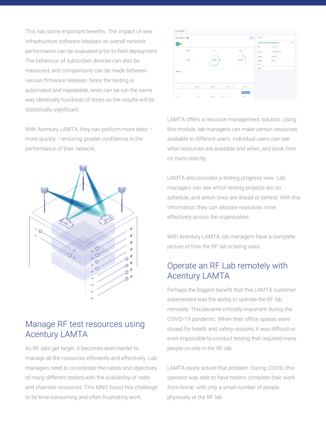This has some important benefits. The impact of new infrastructure software releases on overall network performance can be evaluated prior to field deployment. The behaviour of subscriber devices can also be measured, and comparisons can be made between various firmware releases. Since the testing is automated and repeatable, tests can be run the same way identically hundreds of times so the results will be statistically significant.

With Acentury LAMTA, they can perform more tests – more quickly – ensuring greater confidence in the performance of their network.



#### Manage RF test resources using Acentury LAMTA

As RF labs get larger, it becomes even harder to manage all the resources efficiently and effectively. Lab managers need to co-ordinate the needs and objectives of many different testers with the availability of radio and chamber resources. This MNO found this challenge to be time-consuming and often frustrating work.



LAMTA offers a resource management solution. Using this module, lab managers can make certain resources available to different users. Individual users can see what resources are available and when, and book time on them directly.

LAMTA also provides a testing progress view. Lab managers can see which testing projects are on schedule, and which ones are ahead or behind. With this information, they can allocate resources more effectively across the organization.

With Acentury LAMTA, lab managers have a complete picture of how the RF lab is being used.

#### Operate an RF Lab remotely with Acentury LAMTA

Perhaps the biggest benefit that this LAMTA customer experienced was the ability to operate the RF lab remotely. This became critically important during the COVID-19 pandemic. When their office spaces were closed for health and safety reasons, it was difficult or even impossible to conduct testing that required many people on-site in the RF lab.

LAMTA easily solved that problem. During COVID, this operator was able to have testers complete their work from home, with only a small number of people physically at the RF lab.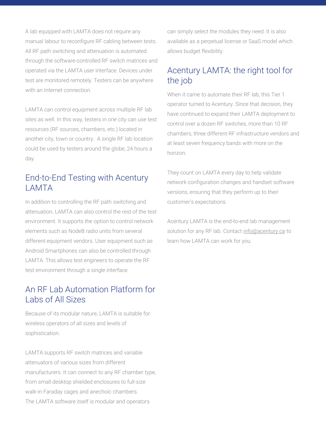A lab equipped with LAMTA does not require any manual labour to reconfigure RF cabling between tests. All RF path switching and attenuation is automated through the software-controlled RF switch matrices and operated via the LAMTA user interface. Devices under test are monitored remotely. Testers can be anywhere with an Internet connection.

LAMTA can control equipment across multiple RF lab sites as well. In this way, testers in one city can use test resources (RF sources, chambers, etc.) located in another city, town or country. A single RF lab location could be used by testers around the globe, 24 hours a day.

#### End-to-End Testing with Acentury LAMTA

In addition to controlling the RF path switching and attenuation, LAMTA can also control the rest of the test environment. It supports the option to control network elements such as NodeB radio units from several different equipment vendors. User equipment such as Android Smartphones can also be controlled through LAMTA. This allows test engineers to operate the RF test environment through a single interface.

#### An RF Lab Automation Platform for Labs of All Sizes

Because of its modular nature, LAMTA is suitable for wireless operators of all sizes and levels of sophistication.

LAMTA supports RF switch matrices and variable attenuators of various sizes from different manufacturers. It can connect to any RF chamber type, from small desktop shielded enclosures to full-size walk-in Faraday cages and anechoic chambers. The LAMTA software itself is modular and operators

can simply select the modules they need. It is also available as a perpetual license or SaaS model which allows budget flexibility.

#### Acentury LAMTA: the right tool for the job

When it came to automate their RF lab, this Tier 1 operator turned to Acentury. Since that decision, they have continued to expand their LAMTA deployment to control over a dozen RF switches, more than 10 RF chambers, three different RF infrastructure vendors and at least seven frequency bands with more on the horizon.

They count on LAMTA every day to help validate network configuration changes and handset software versions, ensuring that they perform up to their customer's expectations.

Acentury LAMTA is the end-to-end lab management solution for any RF lab. Contact info@acentury.ca to learn how LAMTA can work for you.